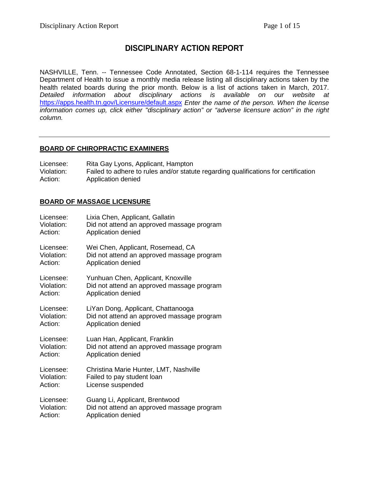# **DISCIPLINARY ACTION REPORT**

NASHVILLE, Tenn. -- Tennessee Code Annotated, Section 68-1-114 requires the Tennessee Department of Health to issue a monthly media release listing all disciplinary actions taken by the health related boards during the prior month. Below is a list of actions taken in March, 2017. *Detailed information about disciplinary actions is available on our website at*  <https://apps.health.tn.gov/Licensure/default.aspx> *Enter the name of the person. When the license information comes up, click either "disciplinary action" or "adverse licensure action" in the right column.*

# **BOARD OF CHIROPRACTIC EXAMINERS**

Licensee: Rita Gay Lyons, Applicant, Hampton<br>Violation: Failed to adhere to rules and/or statu Failed to adhere to rules and/or statute regarding qualifications for certification Action: Application denied

# **BOARD OF MASSAGE LICENSURE**

| Licensee:  | Lixia Chen, Applicant, Gallatin            |
|------------|--------------------------------------------|
| Violation: | Did not attend an approved massage program |
| Action:    | Application denied                         |
| Licensee:  | Wei Chen, Applicant, Rosemead, CA          |
| Violation: | Did not attend an approved massage program |
| Action:    | Application denied                         |
| Licensee:  | Yunhuan Chen, Applicant, Knoxville         |
| Violation: | Did not attend an approved massage program |
| Action:    | Application denied                         |
| Licensee:  | LiYan Dong, Applicant, Chattanooga         |
| Violation: | Did not attend an approved massage program |
| Action:    | Application denied                         |
| Licensee:  | Luan Han, Applicant, Franklin              |
| Violation: | Did not attend an approved massage program |
| Action:    | Application denied                         |
| Licensee:  | Christina Marie Hunter, LMT, Nashville     |
| Violation: | Failed to pay student loan                 |
| Action:    | License suspended                          |
| Licensee:  | Guang Li, Applicant, Brentwood             |
| Violation: | Did not attend an approved massage program |
| Action:    | Application denied                         |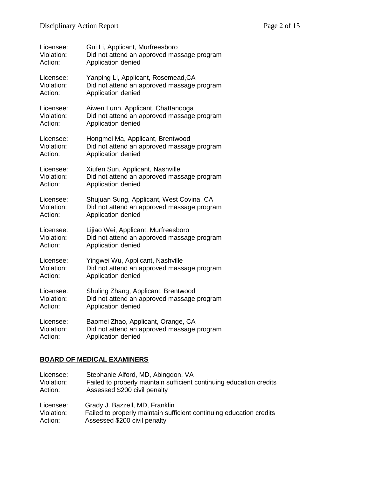| Licensee:  | Gui Li, Applicant, Murfreesboro            |
|------------|--------------------------------------------|
| Violation: | Did not attend an approved massage program |
| Action:    | Application denied                         |
| Licensee:  | Yanping Li, Applicant, Rosemead, CA        |
| Violation: | Did not attend an approved massage program |
| Action:    | Application denied                         |
| Licensee:  | Aiwen Lunn, Applicant, Chattanooga         |
| Violation: | Did not attend an approved massage program |
| Action:    | Application denied                         |
| Licensee:  | Hongmei Ma, Applicant, Brentwood           |
| Violation: | Did not attend an approved massage program |
| Action:    | Application denied                         |
| Licensee:  | Xiufen Sun, Applicant, Nashville           |
| Violation: | Did not attend an approved massage program |
| Action:    | Application denied                         |
| Licensee:  | Shujuan Sung, Applicant, West Covina, CA   |
| Violation: | Did not attend an approved massage program |
| Action:    | Application denied                         |
| Licensee:  | Lijiao Wei, Applicant, Murfreesboro        |
| Violation: | Did not attend an approved massage program |
| Action:    | Application denied                         |
| Licensee:  | Yingwei Wu, Applicant, Nashville           |
| Violation: | Did not attend an approved massage program |
| Action:    | Application denied                         |
| Licensee:  | Shuling Zhang, Applicant, Brentwood        |
| Violation: | Did not attend an approved massage program |
| Action:    | Application denied                         |
| Licensee:  | Baomei Zhao, Applicant, Orange, CA         |
| Violation: | Did not attend an approved massage program |
| Action:    | Application denied                         |

# **BOARD OF MEDICAL EXAMINERS**

| Licensee:  | Stephanie Alford, MD, Abingdon, VA                                  |
|------------|---------------------------------------------------------------------|
| Violation: | Failed to properly maintain sufficient continuing education credits |
| Action:    | Assessed \$200 civil penalty                                        |
| Licensee:  | Grady J. Bazzell, MD, Franklin                                      |
| Violation: | Failed to properly maintain sufficient continuing education credits |
| Action:    | Assessed \$200 civil penalty                                        |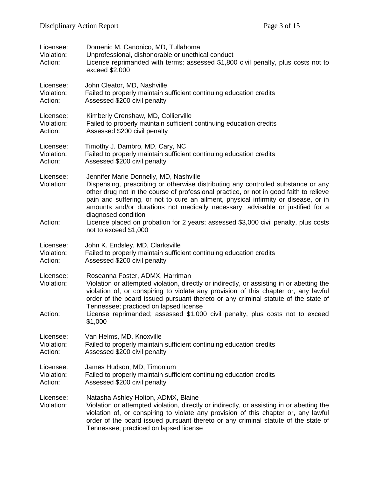| Licensee:<br>Violation:<br>Action: | Domenic M. Canonico, MD, Tullahoma<br>Unprofessional, dishonorable or unethical conduct<br>License reprimanded with terms; assessed \$1,800 civil penalty, plus costs not to<br>exceed \$2,000                                                                                                                                                                                                                                                                                                               |
|------------------------------------|--------------------------------------------------------------------------------------------------------------------------------------------------------------------------------------------------------------------------------------------------------------------------------------------------------------------------------------------------------------------------------------------------------------------------------------------------------------------------------------------------------------|
| Licensee:                          | John Cleator, MD, Nashville                                                                                                                                                                                                                                                                                                                                                                                                                                                                                  |
| Violation:                         | Failed to properly maintain sufficient continuing education credits                                                                                                                                                                                                                                                                                                                                                                                                                                          |
| Action:                            | Assessed \$200 civil penalty                                                                                                                                                                                                                                                                                                                                                                                                                                                                                 |
| Licensee:                          | Kimberly Crenshaw, MD, Collierville                                                                                                                                                                                                                                                                                                                                                                                                                                                                          |
| Violation:                         | Failed to properly maintain sufficient continuing education credits                                                                                                                                                                                                                                                                                                                                                                                                                                          |
| Action:                            | Assessed \$200 civil penalty                                                                                                                                                                                                                                                                                                                                                                                                                                                                                 |
| Licensee:                          | Timothy J. Dambro, MD, Cary, NC                                                                                                                                                                                                                                                                                                                                                                                                                                                                              |
| Violation:                         | Failed to properly maintain sufficient continuing education credits                                                                                                                                                                                                                                                                                                                                                                                                                                          |
| Action:                            | Assessed \$200 civil penalty                                                                                                                                                                                                                                                                                                                                                                                                                                                                                 |
| Licensee:<br>Violation:<br>Action: | Jennifer Marie Donnelly, MD, Nashville<br>Dispensing, prescribing or otherwise distributing any controlled substance or any<br>other drug not in the course of professional practice, or not in good faith to relieve<br>pain and suffering, or not to cure an ailment, physical infirmity or disease, or in<br>amounts and/or durations not medically necessary, advisable or justified for a<br>diagnosed condition<br>License placed on probation for 2 years; assessed \$3,000 civil penalty, plus costs |
|                                    | not to exceed \$1,000                                                                                                                                                                                                                                                                                                                                                                                                                                                                                        |
| Licensee:                          | John K. Endsley, MD, Clarksville                                                                                                                                                                                                                                                                                                                                                                                                                                                                             |
| Violation:                         | Failed to properly maintain sufficient continuing education credits                                                                                                                                                                                                                                                                                                                                                                                                                                          |
| Action:                            | Assessed \$200 civil penalty                                                                                                                                                                                                                                                                                                                                                                                                                                                                                 |
| Licensee:<br>Violation:<br>Action: | Roseanna Foster, ADMX, Harriman<br>Violation or attempted violation, directly or indirectly, or assisting in or abetting the<br>violation of, or conspiring to violate any provision of this chapter or, any lawful<br>order of the board issued pursuant thereto or any criminal statute of the state of<br>Tennessee; practiced on lapsed license<br>License reprimanded; assessed \$1,000 civil penalty, plus costs not to exceed<br>\$1,000                                                              |
| Licensee:                          | Van Helms, MD, Knoxville                                                                                                                                                                                                                                                                                                                                                                                                                                                                                     |
| Violation:                         | Failed to properly maintain sufficient continuing education credits                                                                                                                                                                                                                                                                                                                                                                                                                                          |
| Action:                            | Assessed \$200 civil penalty                                                                                                                                                                                                                                                                                                                                                                                                                                                                                 |
| Licensee:                          | James Hudson, MD, Timonium                                                                                                                                                                                                                                                                                                                                                                                                                                                                                   |
| Violation:                         | Failed to properly maintain sufficient continuing education credits                                                                                                                                                                                                                                                                                                                                                                                                                                          |
| Action:                            | Assessed \$200 civil penalty                                                                                                                                                                                                                                                                                                                                                                                                                                                                                 |
| Licensee:<br>Violation:            | Natasha Ashley Holton, ADMX, Blaine<br>Violation or attempted violation, directly or indirectly, or assisting in or abetting the<br>violation of, or conspiring to violate any provision of this chapter or, any lawful<br>order of the board issued pursuant thereto or any criminal statute of the state of<br>Tennessee; practiced on lapsed license                                                                                                                                                      |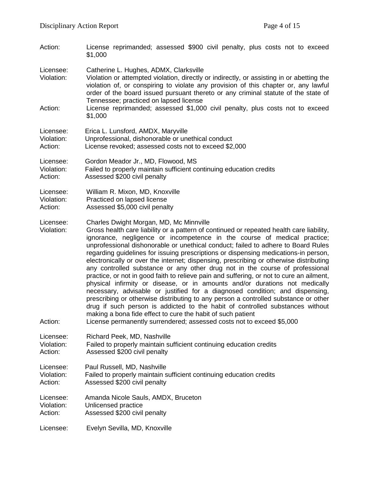| Action:                            | License reprimanded; assessed \$900 civil penalty, plus costs not to exceed<br>\$1,000                                                                                                                                                                                                                                                                                                                                                                                                                                                                                                                                                                                                                                                                                                                                                                                                                                                                                                                                                                                                                                                           |
|------------------------------------|--------------------------------------------------------------------------------------------------------------------------------------------------------------------------------------------------------------------------------------------------------------------------------------------------------------------------------------------------------------------------------------------------------------------------------------------------------------------------------------------------------------------------------------------------------------------------------------------------------------------------------------------------------------------------------------------------------------------------------------------------------------------------------------------------------------------------------------------------------------------------------------------------------------------------------------------------------------------------------------------------------------------------------------------------------------------------------------------------------------------------------------------------|
| Licensee:<br>Violation:            | Catherine L. Hughes, ADMX, Clarksville<br>Violation or attempted violation, directly or indirectly, or assisting in or abetting the<br>violation of, or conspiring to violate any provision of this chapter or, any lawful<br>order of the board issued pursuant thereto or any criminal statute of the state of<br>Tennessee; practiced on lapsed license                                                                                                                                                                                                                                                                                                                                                                                                                                                                                                                                                                                                                                                                                                                                                                                       |
| Action:                            | License reprimanded; assessed \$1,000 civil penalty, plus costs not to exceed<br>\$1,000                                                                                                                                                                                                                                                                                                                                                                                                                                                                                                                                                                                                                                                                                                                                                                                                                                                                                                                                                                                                                                                         |
| Licensee:                          | Erica L. Lunsford, AMDX, Maryville                                                                                                                                                                                                                                                                                                                                                                                                                                                                                                                                                                                                                                                                                                                                                                                                                                                                                                                                                                                                                                                                                                               |
| Violation:                         | Unprofessional, dishonorable or unethical conduct                                                                                                                                                                                                                                                                                                                                                                                                                                                                                                                                                                                                                                                                                                                                                                                                                                                                                                                                                                                                                                                                                                |
| Action:                            | License revoked; assessed costs not to exceed \$2,000                                                                                                                                                                                                                                                                                                                                                                                                                                                                                                                                                                                                                                                                                                                                                                                                                                                                                                                                                                                                                                                                                            |
| Licensee:                          | Gordon Meador Jr., MD, Flowood, MS                                                                                                                                                                                                                                                                                                                                                                                                                                                                                                                                                                                                                                                                                                                                                                                                                                                                                                                                                                                                                                                                                                               |
| Violation:                         | Failed to properly maintain sufficient continuing education credits                                                                                                                                                                                                                                                                                                                                                                                                                                                                                                                                                                                                                                                                                                                                                                                                                                                                                                                                                                                                                                                                              |
| Action:                            | Assessed \$200 civil penalty                                                                                                                                                                                                                                                                                                                                                                                                                                                                                                                                                                                                                                                                                                                                                                                                                                                                                                                                                                                                                                                                                                                     |
| Licensee:                          | William R. Mixon, MD, Knoxville                                                                                                                                                                                                                                                                                                                                                                                                                                                                                                                                                                                                                                                                                                                                                                                                                                                                                                                                                                                                                                                                                                                  |
| Violation:                         | Practiced on lapsed license                                                                                                                                                                                                                                                                                                                                                                                                                                                                                                                                                                                                                                                                                                                                                                                                                                                                                                                                                                                                                                                                                                                      |
| Action:                            | Assessed \$5,000 civil penalty                                                                                                                                                                                                                                                                                                                                                                                                                                                                                                                                                                                                                                                                                                                                                                                                                                                                                                                                                                                                                                                                                                                   |
| Licensee:<br>Violation:<br>Action: | Charles Dwight Morgan, MD, Mc Minnville<br>Gross health care liability or a pattern of continued or repeated health care liability,<br>ignorance, negligence or incompetence in the course of medical practice;<br>unprofessional dishonorable or unethical conduct; failed to adhere to Board Rules<br>regarding guidelines for issuing prescriptions or dispensing medications-in person,<br>electronically or over the internet; dispensing, prescribing or otherwise distributing<br>any controlled substance or any other drug not in the course of professional<br>practice, or not in good faith to relieve pain and suffering, or not to cure an ailment,<br>physical infirmity or disease, or in amounts and/or durations not medically<br>necessary, advisable or justified for a diagnosed condition; and dispensing,<br>prescribing or otherwise distributing to any person a controlled substance or other<br>drug if such person is addicted to the habit of controlled substances without<br>making a bona fide effect to cure the habit of such patient<br>License permanently surrendered; assessed costs not to exceed \$5,000 |
| Licensee:                          | Richard Peek, MD, Nashville                                                                                                                                                                                                                                                                                                                                                                                                                                                                                                                                                                                                                                                                                                                                                                                                                                                                                                                                                                                                                                                                                                                      |
| Violation:                         | Failed to properly maintain sufficient continuing education credits                                                                                                                                                                                                                                                                                                                                                                                                                                                                                                                                                                                                                                                                                                                                                                                                                                                                                                                                                                                                                                                                              |
| Action:                            | Assessed \$200 civil penalty                                                                                                                                                                                                                                                                                                                                                                                                                                                                                                                                                                                                                                                                                                                                                                                                                                                                                                                                                                                                                                                                                                                     |
| Licensee:                          | Paul Russell, MD, Nashville                                                                                                                                                                                                                                                                                                                                                                                                                                                                                                                                                                                                                                                                                                                                                                                                                                                                                                                                                                                                                                                                                                                      |
| Violation:                         | Failed to properly maintain sufficient continuing education credits                                                                                                                                                                                                                                                                                                                                                                                                                                                                                                                                                                                                                                                                                                                                                                                                                                                                                                                                                                                                                                                                              |
| Action:                            | Assessed \$200 civil penalty                                                                                                                                                                                                                                                                                                                                                                                                                                                                                                                                                                                                                                                                                                                                                                                                                                                                                                                                                                                                                                                                                                                     |
| Licensee:                          | Amanda Nicole Sauls, AMDX, Bruceton                                                                                                                                                                                                                                                                                                                                                                                                                                                                                                                                                                                                                                                                                                                                                                                                                                                                                                                                                                                                                                                                                                              |
| Violation:                         | Unlicensed practice                                                                                                                                                                                                                                                                                                                                                                                                                                                                                                                                                                                                                                                                                                                                                                                                                                                                                                                                                                                                                                                                                                                              |
| Action:                            | Assessed \$200 civil penalty                                                                                                                                                                                                                                                                                                                                                                                                                                                                                                                                                                                                                                                                                                                                                                                                                                                                                                                                                                                                                                                                                                                     |
| Licensee:                          | Evelyn Sevilla, MD, Knoxville                                                                                                                                                                                                                                                                                                                                                                                                                                                                                                                                                                                                                                                                                                                                                                                                                                                                                                                                                                                                                                                                                                                    |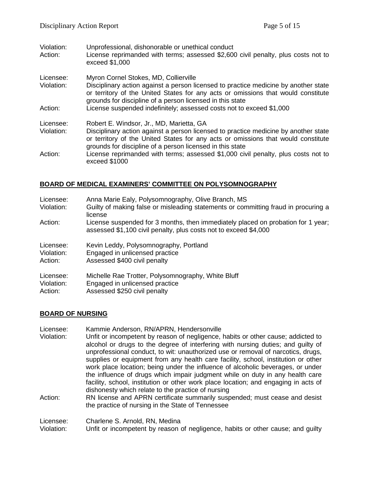| Violation:<br>Action:   | Unprofessional, dishonorable or unethical conduct<br>License reprimanded with terms; assessed \$2,600 civil penalty, plus costs not to<br>exceed \$1,000                                                                                                                       |
|-------------------------|--------------------------------------------------------------------------------------------------------------------------------------------------------------------------------------------------------------------------------------------------------------------------------|
| Licensee:<br>Violation: | Myron Cornel Stokes, MD, Collierville<br>Disciplinary action against a person licensed to practice medicine by another state<br>or territory of the United States for any acts or omissions that would constitute<br>grounds for discipline of a person licensed in this state |
| Action:                 | License suspended indefinitely; assessed costs not to exceed \$1,000                                                                                                                                                                                                           |
| Licensee:               | Robert E. Windsor, Jr., MD, Marietta, GA                                                                                                                                                                                                                                       |
| Violation:              | Disciplinary action against a person licensed to practice medicine by another state<br>or territory of the United States for any acts or omissions that would constitute<br>grounds for discipline of a person licensed in this state                                          |
| Action:                 | License reprimanded with terms; assessed \$1,000 civil penalty, plus costs not to<br>exceed \$1000                                                                                                                                                                             |

# **BOARD OF MEDICAL EXAMINERS' COMMITTEE ON POLYSOMNOGRAPHY**

| Licensee:<br>Violation: | Anna Marie Ealy, Polysomnography, Olive Branch, MS<br>Guilty of making false or misleading statements or committing fraud in procuring a<br>license  |
|-------------------------|------------------------------------------------------------------------------------------------------------------------------------------------------|
| Action:                 | License suspended for 3 months, then immediately placed on probation for 1 year;<br>assessed \$1,100 civil penalty, plus costs not to exceed \$4,000 |
| Licensee:               | Kevin Leddy, Polysomnography, Portland                                                                                                               |
| Violation:              | Engaged in unlicensed practice                                                                                                                       |
| Action:                 | Assessed \$400 civil penalty                                                                                                                         |
| Licensee:               | Michelle Rae Trotter, Polysomnography, White Bluff                                                                                                   |
| Violation:              | Engaged in unlicensed practice                                                                                                                       |
| Action:                 | Assessed \$250 civil penalty                                                                                                                         |

#### **BOARD OF NURSING**

Licensee: Kammie Anderson, RN/APRN, Hendersonville<br>Violation: Unfit or incompetent by reason of negligence. Unfit or incompetent by reason of negligence, habits or other cause; addicted to alcohol or drugs to the degree of interfering with nursing duties; and guilty of unprofessional conduct, to wit: unauthorized use or removal of narcotics, drugs, supplies or equipment from any health care facility, school, institution or other work place location; being under the influence of alcoholic beverages, or under the influence of drugs which impair judgment while on duty in any health care facility, school, institution or other work place location; and engaging in acts of dishonesty which relate to the practice of nursing Action: RN license and APRN certificate summarily suspended; must cease and desist the practice of nursing in the State of Tennessee

Licensee: Charlene S. Arnold, RN, Medina<br>Violation: Unfit or incompetent by reason of

Unfit or incompetent by reason of negligence, habits or other cause; and quilty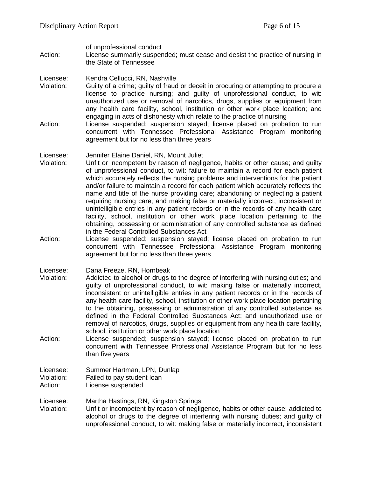of unprofessional conduct

Action: License summarily suspended; must cease and desist the practice of nursing in the State of Tennessee

#### Licensee: Kendra Cellucci, RN, Nashville

- Violation: Guilty of a crime; guilty of fraud or deceit in procuring or attempting to procure a license to practice nursing; and guilty of unprofessional conduct, to wit: unauthorized use or removal of narcotics, drugs, supplies or equipment from any health care facility, school, institution or other work place location; and engaging in acts of dishonesty which relate to the practice of nursing
- Action: License suspended; suspension stayed; license placed on probation to run concurrent with Tennessee Professional Assistance Program monitoring agreement but for no less than three years

#### Licensee: Jennifer Elaine Daniel, RN, Mount Juliet

- Violation: Unfit or incompetent by reason of negligence, habits or other cause; and guilty of unprofessional conduct, to wit: failure to maintain a record for each patient which accurately reflects the nursing problems and interventions for the patient and/or failure to maintain a record for each patient which accurately reflects the name and title of the nurse providing care; abandoning or neglecting a patient requiring nursing care; and making false or materially incorrect, inconsistent or unintelligible entries in any patient records or in the records of any health care facility, school, institution or other work place location pertaining to the obtaining, possessing or administration of any controlled substance as defined in the Federal Controlled Substances Act
- Action: License suspended; suspension stayed; license placed on probation to run concurrent with Tennessee Professional Assistance Program monitoring agreement but for no less than three years

Licensee: Dana Freeze, RN, Hornbeak

- Violation: Addicted to alcohol or drugs to the degree of interfering with nursing duties; and guilty of unprofessional conduct, to wit: making false or materially incorrect, inconsistent or unintelligible entries in any patient records or in the records of any health care facility, school, institution or other work place location pertaining to the obtaining, possessing or administration of any controlled substance as defined in the Federal Controlled Substances Act; and unauthorized use or removal of narcotics, drugs, supplies or equipment from any health care facility, school, institution or other work place location
- Action: License suspended; suspension stayed; license placed on probation to run concurrent with Tennessee Professional Assistance Program but for no less than five years

#### Licensee: Summer Hartman, LPN, Dunlap Violation: Failed to pay student loan Action: License suspended

# Licensee: Martha Hastings, RN, Kingston Springs

Violation: Unfit or incompetent by reason of negligence, habits or other cause; addicted to alcohol or drugs to the degree of interfering with nursing duties; and guilty of unprofessional conduct, to wit: making false or materially incorrect, inconsistent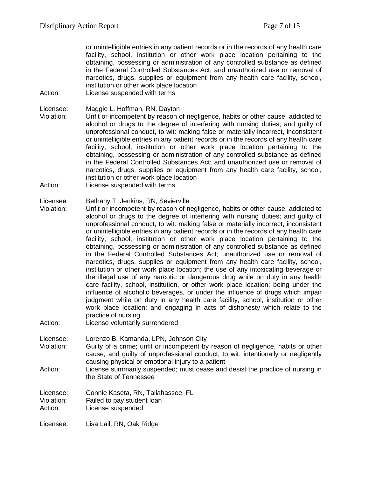or unintelligible entries in any patient records or in the records of any health care facility, school, institution or other work place location pertaining to the obtaining, possessing or administration of any controlled substance as defined in the Federal Controlled Substances Act; and unauthorized use or removal of narcotics, drugs, supplies or equipment from any health care facility, school, institution or other work place location

Action: License suspended with terms

Licensee: Maggie L. Hoffman, RN, Dayton

- Violation: Unfit or incompetent by reason of negligence, habits or other cause; addicted to alcohol or drugs to the degree of interfering with nursing duties; and guilty of unprofessional conduct, to wit: making false or materially incorrect, inconsistent or unintelligible entries in any patient records or in the records of any health care facility, school, institution or other work place location pertaining to the obtaining, possessing or administration of any controlled substance as defined in the Federal Controlled Substances Act; and unauthorized use or removal of narcotics, drugs, supplies or equipment from any health care facility, school, institution or other work place location
- Action: License suspended with terms

#### Licensee: Bethany T. Jenkins, RN, Sevierville

Violation: Unfit or incompetent by reason of negligence, habits or other cause; addicted to alcohol or drugs to the degree of interfering with nursing duties; and guilty of unprofessional conduct, to wit: making false or materially incorrect, inconsistent or unintelligible entries in any patient records or in the records of any health care facility, school, institution or other work place location pertaining to the obtaining, possessing or administration of any controlled substance as defined in the Federal Controlled Substances Act; unauthorized use or removal of narcotics, drugs, supplies or equipment from any health care facility, school, institution or other work place location; the use of any intoxicating beverage or the illegal use of any narcotic or dangerous drug while on duty in any health care facility, school, institution, or other work place location; being under the influence of alcoholic beverages, or under the influence of drugs which impair judgment while on duty in any health care facility, school, institution or other work place location; and engaging in acts of dishonesty which relate to the practice of nursing

Action: License voluntarily surrendered

Licensee: Lorenzo B. Kamanda, LPN, Johnson City

- Violation: Guilty of a crime; unfit or incompetent by reason of negligence, habits or other cause; and guilty of unprofessional conduct, to wit: intentionally or negligently causing physical or emotional injury to a patient
- Action: License summarily suspended; must cease and desist the practice of nursing in the State of Tennessee

Licensee: Connie Kaseta, RN, Tallahassee, FL Violation: Failed to pay student loan<br>Action: License suspended License suspended

Licensee: Lisa Lail, RN, Oak Ridge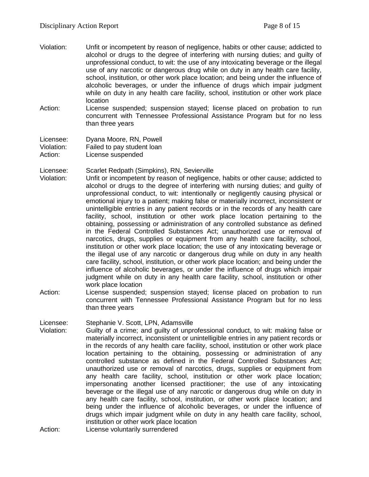- Violation: Unfit or incompetent by reason of negligence, habits or other cause; addicted to alcohol or drugs to the degree of interfering with nursing duties; and guilty of unprofessional conduct, to wit: the use of any intoxicating beverage or the illegal use of any narcotic or dangerous drug while on duty in any health care facility, school, institution, or other work place location; and being under the influence of alcoholic beverages, or under the influence of drugs which impair judgment while on duty in any health care facility, school, institution or other work place location
- Action: License suspended; suspension stayed; license placed on probation to run concurrent with Tennessee Professional Assistance Program but for no less than three years

Licensee: Dyana Moore, RN, Powell Violation: Failed to pay student loan Action: License suspended

Licensee: Scarlet Redpath (Simpkins), RN, Sevierville

- Violation: Unfit or incompetent by reason of negligence, habits or other cause; addicted to alcohol or drugs to the degree of interfering with nursing duties; and guilty of unprofessional conduct, to wit: intentionally or negligently causing physical or emotional injury to a patient; making false or materially incorrect, inconsistent or unintelligible entries in any patient records or in the records of any health care facility, school, institution or other work place location pertaining to the obtaining, possessing or administration of any controlled substance as defined in the Federal Controlled Substances Act; unauthorized use or removal of narcotics, drugs, supplies or equipment from any health care facility, school, institution or other work place location; the use of any intoxicating beverage or the illegal use of any narcotic or dangerous drug while on duty in any health care facility, school, institution, or other work place location; and being under the influence of alcoholic beverages, or under the influence of drugs which impair judgment while on duty in any health care facility, school, institution or other work place location
- Action: License suspended; suspension stayed; license placed on probation to run concurrent with Tennessee Professional Assistance Program but for no less than three years

Licensee: Stephanie V. Scott, LPN, Adamsville

Violation: Guilty of a crime; and guilty of unprofessional conduct, to wit: making false or materially incorrect, inconsistent or unintelligible entries in any patient records or in the records of any health care facility, school, institution or other work place location pertaining to the obtaining, possessing or administration of any controlled substance as defined in the Federal Controlled Substances Act; unauthorized use or removal of narcotics, drugs, supplies or equipment from any health care facility, school, institution or other work place location; impersonating another licensed practitioner; the use of any intoxicating beverage or the illegal use of any narcotic or dangerous drug while on duty in any health care facility, school, institution, or other work place location; and being under the influence of alcoholic beverages, or under the influence of drugs which impair judgment while on duty in any health care facility, school, institution or other work place location

Action: License voluntarily surrendered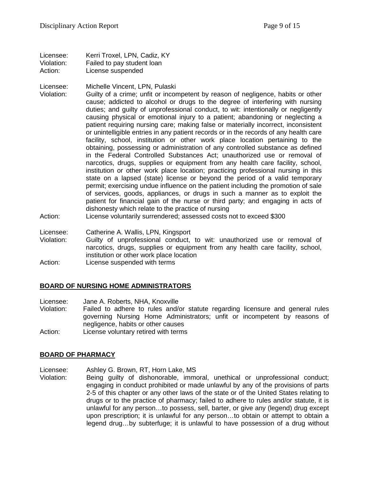Licensee: Kerri Troxel, LPN, Cadiz, KY Violation: Failed to pay student loan Action: License suspended

#### Licensee: Michelle Vincent, LPN, Pulaski

- Violation: Guilty of a crime; unfit or incompetent by reason of negligence, habits or other cause; addicted to alcohol or drugs to the degree of interfering with nursing duties; and guilty of unprofessional conduct, to wit: intentionally or negligently causing physical or emotional injury to a patient; abandoning or neglecting a patient requiring nursing care; making false or materially incorrect, inconsistent or unintelligible entries in any patient records or in the records of any health care facility, school, institution or other work place location pertaining to the obtaining, possessing or administration of any controlled substance as defined in the Federal Controlled Substances Act; unauthorized use or removal of narcotics, drugs, supplies or equipment from any health care facility, school, institution or other work place location; practicing professional nursing in this state on a lapsed (state) license or beyond the period of a valid temporary permit; exercising undue influence on the patient including the promotion of sale of services, goods, appliances, or drugs in such a manner as to exploit the patient for financial gain of the nurse or third party; and engaging in acts of dishonesty which relate to the practice of nursing
- Action: License voluntarily surrendered; assessed costs not to exceed \$300
- Licensee: Catherine A. Wallis, LPN, Kingsport
- Violation: Guilty of unprofessional conduct, to wit: unauthorized use or removal of narcotics, drugs, supplies or equipment from any health care facility, school, institution or other work place location
- Action: License suspended with terms

# **BOARD OF NURSING HOME ADMINISTRATORS**

Licensee: Jane A. Roberts, NHA, Knoxville

- Violation: Failed to adhere to rules and/or statute regarding licensure and general rules governing Nursing Home Administrators; unfit or incompetent by reasons of negligence, habits or other causes
- Action: License voluntary retired with terms

# **BOARD OF PHARMACY**

Licensee: Ashley G. Brown, RT, Horn Lake, MS

Violation: Being guilty of dishonorable, immoral, unethical or unprofessional conduct; engaging in conduct prohibited or made unlawful by any of the provisions of parts 2-5 of this chapter or any other laws of the state or of the United States relating to drugs or to the practice of pharmacy; failed to adhere to rules and/or statute, it is unlawful for any person…to possess, sell, barter, or give any (legend) drug except upon prescription; it is unlawful for any person…to obtain or attempt to obtain a legend drug…by subterfuge; it is unlawful to have possession of a drug without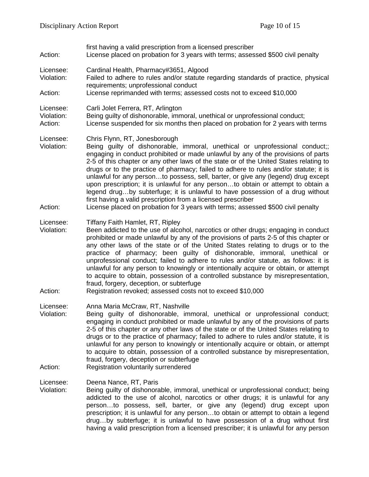first having a valid prescription from a licensed prescriber Action: License placed on probation for 3 years with terms; assessed \$500 civil penalty Licensee: Cardinal Health, Pharmacy#3651, Algood Violation: Failed to adhere to rules and/or statute regarding standards of practice, physical requirements; unprofessional conduct Action: License reprimanded with terms; assessed costs not to exceed \$10,000 Licensee: Carli Jolet Ferrera, RT, Arlington Violation: Being guilty of dishonorable, immoral, unethical or unprofessional conduct; Action: License suspended for six months then placed on probation for 2 years with terms Licensee: Chris Flynn, RT, Jonesborough Violation: Being guilty of dishonorable, immoral, unethical or unprofessional conduct;; engaging in conduct prohibited or made unlawful by any of the provisions of parts 2-5 of this chapter or any other laws of the state or of the United States relating to drugs or to the practice of pharmacy; failed to adhere to rules and/or statute; it is unlawful for any person…to possess, sell, barter, or give any (legend) drug except upon prescription; it is unlawful for any person…to obtain or attempt to obtain a legend drug…by subterfuge; it is unlawful to have possession of a drug without first having a valid prescription from a licensed prescriber Action: License placed on probation for 3 years with terms; assessed \$500 civil penalty Licensee: Tiffany Faith Hamlet, RT, Ripley Violation: Been addicted to the use of alcohol, narcotics or other drugs; engaging in conduct prohibited or made unlawful by any of the provisions of parts 2-5 of this chapter or any other laws of the state or of the United States relating to drugs or to the practice of pharmacy; been guilty of dishonorable, immoral, unethical or unprofessional conduct; failed to adhere to rules and/or statute, as follows: it is unlawful for any person to knowingly or intentionally acquire or obtain, or attempt to acquire to obtain, possession of a controlled substance by misrepresentation, fraud, forgery, deception, or subterfuge Action: Registration revoked; assessed costs not to exceed \$10,000 Licensee: Anna Maria McCraw, RT, Nashville Violation: Being guilty of dishonorable, immoral, unethical or unprofessional conduct; engaging in conduct prohibited or made unlawful by any of the provisions of parts 2-5 of this chapter or any other laws of the state or of the United States relating to drugs or to the practice of pharmacy; failed to adhere to rules and/or statute, it is unlawful for any person to knowingly or intentionally acquire or obtain, or attempt to acquire to obtain, possession of a controlled substance by misrepresentation, fraud, forgery, deception or subterfuge Action: Registration voluntarily surrendered Licensee: Deena Nance, RT, Paris Violation: Being guilty of dishonorable, immoral, unethical or unprofessional conduct; being addicted to the use of alcohol, narcotics or other drugs; it is unlawful for any person…to possess, sell, barter, or give any (legend) drug except upon prescription; it is unlawful for any person…to obtain or attempt to obtain a legend drug…by subterfuge; it is unlawful to have possession of a drug without first having a valid prescription from a licensed prescriber; it is unlawful for any person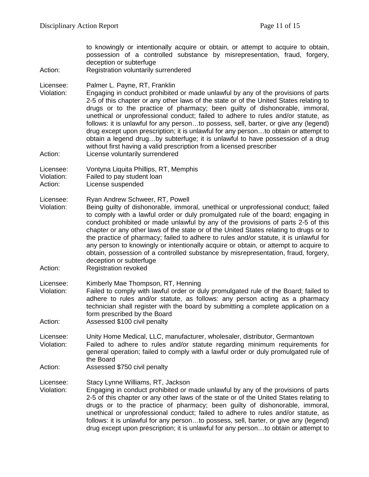| Action:                            | to knowingly or intentionally acquire or obtain, or attempt to acquire to obtain,<br>possession of a controlled substance by misrepresentation, fraud, forgery,<br>deception or subterfuge<br>Registration voluntarily surrendered                                                                                                                                                                                                                                                                                                                                                                                                                                                                                                                           |
|------------------------------------|--------------------------------------------------------------------------------------------------------------------------------------------------------------------------------------------------------------------------------------------------------------------------------------------------------------------------------------------------------------------------------------------------------------------------------------------------------------------------------------------------------------------------------------------------------------------------------------------------------------------------------------------------------------------------------------------------------------------------------------------------------------|
| Licensee:<br>Violation:<br>Action: | Palmer L. Payne, RT, Franklin<br>Engaging in conduct prohibited or made unlawful by any of the provisions of parts<br>2-5 of this chapter or any other laws of the state or of the United States relating to<br>drugs or to the practice of pharmacy; been guilty of dishonorable, immoral,<br>unethical or unprofessional conduct; failed to adhere to rules and/or statute, as<br>follows: it is unlawful for any personto possess, sell, barter, or give any (legend)<br>drug except upon prescription; it is unlawful for any personto obtain or attempt to<br>obtain a legend drugby subterfuge; it is unlawful to have possession of a drug<br>without first having a valid prescription from a licensed prescriber<br>License voluntarily surrendered |
| Licensee:<br>Violation:<br>Action: | Vontyna Liquita Phillips, RT, Memphis<br>Failed to pay student loan<br>License suspended                                                                                                                                                                                                                                                                                                                                                                                                                                                                                                                                                                                                                                                                     |
| Licensee:<br>Violation:<br>Action: | Ryan Andrew Schweer, RT, Powell<br>Being guilty of dishonorable, immoral, unethical or unprofessional conduct; failed<br>to comply with a lawful order or duly promulgated rule of the board; engaging in<br>conduct prohibited or made unlawful by any of the provisions of parts 2-5 of this<br>chapter or any other laws of the state or of the United States relating to drugs or to<br>the practice of pharmacy; failed to adhere to rules and/or statute, it is unlawful for<br>any person to knowingly or intentionally acquire or obtain, or attempt to acquire to<br>obtain, possession of a controlled substance by misrepresentation, fraud, forgery,<br>deception or subterfuge<br><b>Registration revoked</b>                                   |
| Licensee:<br>Violation:<br>Action: | Kimberly Mae Thompson, RT, Henning<br>Failed to comply with lawful order or duly promulgated rule of the Board; failed to<br>adhere to rules and/or statute, as follows: any person acting as a pharmacy<br>technician shall register with the board by submitting a complete application on a<br>form prescribed by the Board<br>Assessed \$100 civil penalty                                                                                                                                                                                                                                                                                                                                                                                               |
| Licensee:<br>Violation:<br>Action: | Unity Home Medical, LLC, manufacturer, wholesaler, distributor, Germantown<br>Failed to adhere to rules and/or statute regarding minimum requirements for<br>general operation; failed to comply with a lawful order or duly promulgated rule of<br>the Board<br>Assessed \$750 civil penalty                                                                                                                                                                                                                                                                                                                                                                                                                                                                |
| Licensee:<br>Violation:            | Stacy Lynne Williams, RT, Jackson<br>Engaging in conduct prohibited or made unlawful by any of the provisions of parts<br>2-5 of this chapter or any other laws of the state or of the United States relating to<br>drugs or to the practice of pharmacy; been guilty of dishonorable, immoral,<br>unethical or unprofessional conduct; failed to adhere to rules and/or statute, as<br>follows: it is unlawful for any personto possess, sell, barter, or give any (legend)<br>drug except upon prescription; it is unlawful for any personto obtain or attempt to                                                                                                                                                                                          |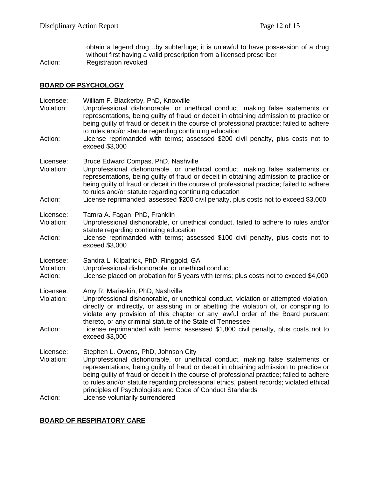obtain a legend drug…by subterfuge; it is unlawful to have possession of a drug without first having a valid prescription from a licensed prescriber Action: Registration revoked

# **BOARD OF PSYCHOLOGY**

| Licensee:<br>Violation:            | William F. Blackerby, PhD, Knoxville<br>Unprofessional dishonorable, or unethical conduct, making false statements or<br>representations, being guilty of fraud or deceit in obtaining admission to practice or<br>being guilty of fraud or deceit in the course of professional practice; failed to adhere<br>to rules and/or statute regarding continuing education                                                                                               |
|------------------------------------|---------------------------------------------------------------------------------------------------------------------------------------------------------------------------------------------------------------------------------------------------------------------------------------------------------------------------------------------------------------------------------------------------------------------------------------------------------------------|
| Action:                            | License reprimanded with terms; assessed \$200 civil penalty, plus costs not to<br>exceed \$3,000                                                                                                                                                                                                                                                                                                                                                                   |
| Licensee:<br>Violation:            | Bruce Edward Compas, PhD, Nashville<br>Unprofessional dishonorable, or unethical conduct, making false statements or<br>representations, being guilty of fraud or deceit in obtaining admission to practice or<br>being guilty of fraud or deceit in the course of professional practice; failed to adhere<br>to rules and/or statute regarding continuing education                                                                                                |
| Action:                            | License reprimanded; assessed \$200 civil penalty, plus costs not to exceed \$3,000                                                                                                                                                                                                                                                                                                                                                                                 |
| Licensee:<br>Violation:            | Tamra A. Fagan, PhD, Franklin<br>Unprofessional dishonorable, or unethical conduct, failed to adhere to rules and/or<br>statute regarding continuing education                                                                                                                                                                                                                                                                                                      |
| Action:                            | License reprimanded with terms; assessed \$100 civil penalty, plus costs not to<br>exceed \$3,000                                                                                                                                                                                                                                                                                                                                                                   |
| Licensee:<br>Violation:<br>Action: | Sandra L. Kilpatrick, PhD, Ringgold, GA<br>Unprofessional dishonorable, or unethical conduct<br>License placed on probation for 5 years with terms; plus costs not to exceed \$4,000                                                                                                                                                                                                                                                                                |
| Licensee:<br>Violation:            | Amy R. Mariaskin, PhD, Nashville<br>Unprofessional dishonorable, or unethical conduct, violation or attempted violation,<br>directly or indirectly, or assisting in or abetting the violation of, or conspiring to<br>violate any provision of this chapter or any lawful order of the Board pursuant<br>thereto, or any criminal statute of the State of Tennessee                                                                                                 |
| Action:                            | License reprimanded with terms; assessed \$1,800 civil penalty, plus costs not to<br>exceed \$3,000                                                                                                                                                                                                                                                                                                                                                                 |
| Licensee:<br>Violation:            | Stephen L. Owens, PhD, Johnson City<br>Unprofessional dishonorable, or unethical conduct, making false statements or<br>representations, being guilty of fraud or deceit in obtaining admission to practice or<br>being guilty of fraud or deceit in the course of professional practice; failed to adhere<br>to rules and/or statute regarding professional ethics, patient records; violated ethical<br>principles of Psychologists and Code of Conduct Standards |
| Action:                            | License voluntarily surrendered                                                                                                                                                                                                                                                                                                                                                                                                                                     |

# **BOARD OF RESPIRATORY CARE**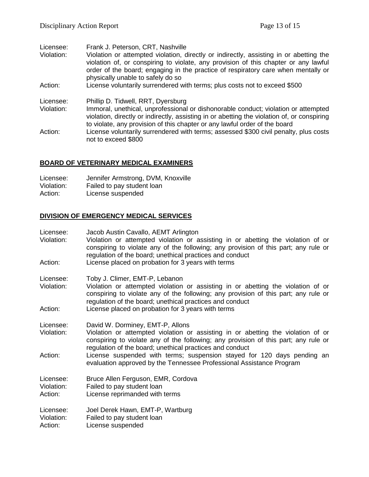| Licensee:<br>Violation:<br>Action: | Frank J. Peterson, CRT, Nashville<br>Violation or attempted violation, directly or indirectly, assisting in or abetting the<br>violation of, or conspiring to violate, any provision of this chapter or any lawful<br>order of the board; engaging in the practice of respiratory care when mentally or<br>physically unable to safely do so<br>License voluntarily surrendered with terms; plus costs not to exceed \$500 |
|------------------------------------|----------------------------------------------------------------------------------------------------------------------------------------------------------------------------------------------------------------------------------------------------------------------------------------------------------------------------------------------------------------------------------------------------------------------------|
| Licensee:<br>Violation:<br>Action: | Phillip D. Tidwell, RRT, Dyersburg<br>Immoral, unethical, unprofessional or dishonorable conduct; violation or attempted<br>violation, directly or indirectly, assisting in or abetting the violation of, or conspiring<br>to violate, any provision of this chapter or any lawful order of the board<br>License voluntarily surrendered with terms; assessed \$300 civil penalty, plus costs<br>not to exceed \$800       |

# **BOARD OF VETERINARY MEDICAL EXAMINERS**

| Licensee:  | Jennifer Armstrong, DVM, Knoxville |
|------------|------------------------------------|
| Violation: | Failed to pay student loan         |
| Action:    | License suspended                  |

# **DIVISION OF EMERGENCY MEDICAL SERVICES**

| Licensee:<br>Violation:            | Jacob Austin Cavallo, AEMT Arlington<br>Violation or attempted violation or assisting in or abetting the violation of or<br>conspiring to violate any of the following; any provision of this part; any rule or<br>regulation of the board; unethical practices and conduct |
|------------------------------------|-----------------------------------------------------------------------------------------------------------------------------------------------------------------------------------------------------------------------------------------------------------------------------|
| Action:                            | License placed on probation for 3 years with terms                                                                                                                                                                                                                          |
| Licensee:<br>Violation:            | Toby J. Climer, EMT-P, Lebanon<br>Violation or attempted violation or assisting in or abetting the violation of or<br>conspiring to violate any of the following; any provision of this part; any rule or<br>regulation of the board; unethical practices and conduct       |
| Action:                            | License placed on probation for 3 years with terms                                                                                                                                                                                                                          |
| Licensee:<br>Violation:            | David W. Dorminey, EMT-P, Allons<br>Violation or attempted violation or assisting in or abetting the violation of or<br>conspiring to violate any of the following; any provision of this part; any rule or<br>regulation of the board; unethical practices and conduct     |
| Action:                            | License suspended with terms; suspension stayed for 120 days pending an<br>evaluation approved by the Tennessee Professional Assistance Program                                                                                                                             |
| Licensee:<br>Violation:<br>Action: | Bruce Allen Ferguson, EMR, Cordova<br>Failed to pay student loan<br>License reprimanded with terms                                                                                                                                                                          |
| Licensee:<br>Violation:<br>Action: | Joel Derek Hawn, EMT-P, Wartburg<br>Failed to pay student loan<br>License suspended                                                                                                                                                                                         |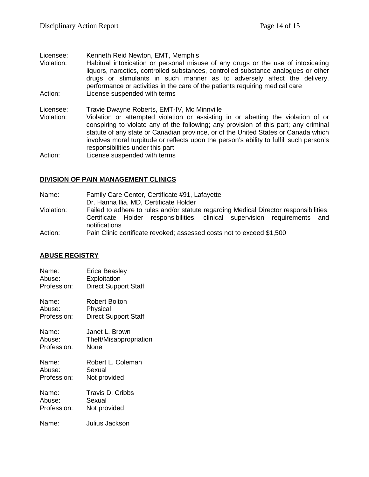Licensee: Kenneth Reid Newton, EMT, Memphis<br>Violation: Habitual intoxication or personal misu Habitual intoxication or personal misuse of any drugs or the use of intoxicating liquors, narcotics, controlled substances, controlled substance analogues or other drugs or stimulants in such manner as to adversely affect the delivery, performance or activities in the care of the patients requiring medical care Action: License suspended with terms Licensee: Travie Dwayne Roberts, EMT-IV, Mc Minnville<br>Violation: Violation or attempted violation or assisting Violation: Violation or attempted violation or assisting in or abetting the violation of or conspiring to violate any of the following; any provision of this part; any criminal statute of any state or Canadian province, or of the United States or Canada which involves moral turpitude or reflects upon the person's ability to fulfill such person's responsibilities under this part

Action: License suspended with terms

#### **DIVISION OF PAIN MANAGEMENT CLINICS**

| Name:      | Family Care Center, Certificate #91, Lafayette                                              |  |  |
|------------|---------------------------------------------------------------------------------------------|--|--|
|            | Dr. Hanna Ilia, MD, Certificate Holder                                                      |  |  |
| Violation: | Failed to adhere to rules and/or statute regarding Medical Director responsibilities,       |  |  |
|            | Certificate Holder responsibilities, clinical supervision requirements and<br>notifications |  |  |
| Action:    | Pain Clinic certificate revoked; assessed costs not to exceed \$1,500                       |  |  |

# **ABUSE REGISTRY**

| Name:       | Erica Beasley               |
|-------------|-----------------------------|
| Abuse:      | Exploitation                |
| Profession: | <b>Direct Support Staff</b> |
| Name:       | Robert Bolton               |
| Abuse:      | Physical                    |
| Profession: | <b>Direct Support Staff</b> |
| Name:       | Janet L. Brown              |
| Abuse:      | Theft/Misappropriation      |
| Profession: | None                        |
| Name:       | Robert L. Coleman           |
| Abuse:      | Sexual                      |
| Profession: | Not provided                |
| Name:       | Travis D. Cribbs            |
| Abuse:      | Sexual                      |
| Profession: | Not provided                |
| Name:       | Julius Jackson              |